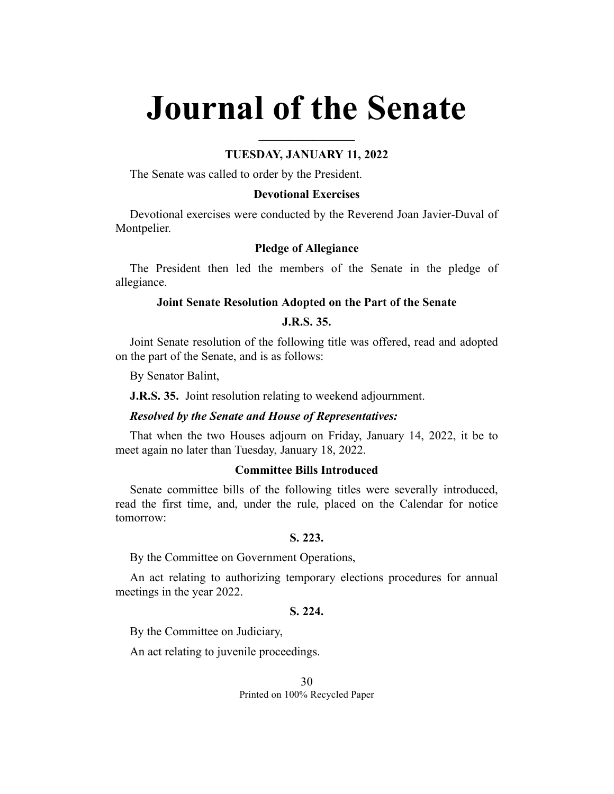# **Journal of the Senate**

## **TUESDAY, JANUARY 11, 2022**

**\_\_\_\_\_\_\_\_\_\_\_\_\_\_\_\_**

The Senate was called to order by the President.

## **Devotional Exercises**

Devotional exercises were conducted by the Reverend Joan Javier-Duval of Montpelier.

## **Pledge of Allegiance**

The President then led the members of the Senate in the pledge of allegiance.

#### **Joint Senate Resolution Adopted on the Part of the Senate**

# **J.R.S. 35.**

Joint Senate resolution of the following title was offered, read and adopted on the part of the Senate, and is as follows:

By Senator Balint,

**J.R.S. 35.** Joint resolution relating to weekend adjournment.

#### *Resolved by the Senate and House of Representatives:*

That when the two Houses adjourn on Friday, January 14, 2022, it be to meet again no later than Tuesday, January 18, 2022.

# **Committee Bills Introduced**

Senate committee bills of the following titles were severally introduced, read the first time, and, under the rule, placed on the Calendar for notice tomorrow:

#### **S. 223.**

By the Committee on Government Operations,

An act relating to authorizing temporary elections procedures for annual meetings in the year 2022.

# **S. 224.**

By the Committee on Judiciary,

An act relating to juvenile proceedings.

30 Printed on 100% Recycled Paper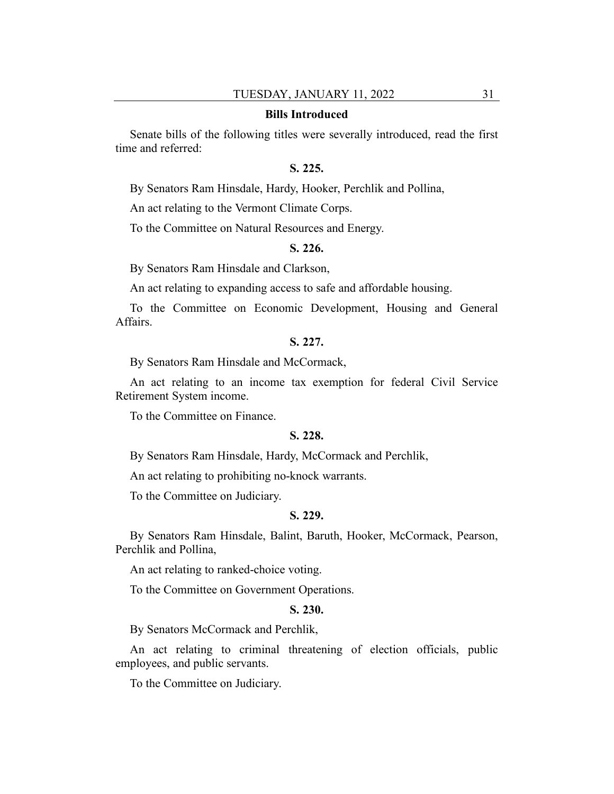#### **Bills Introduced**

Senate bills of the following titles were severally introduced, read the first time and referred:

## **S. 225.**

By Senators Ram Hinsdale, Hardy, Hooker, Perchlik and Pollina,

An act relating to the Vermont Climate Corps.

To the Committee on Natural Resources and Energy.

## **S. 226.**

By Senators Ram Hinsdale and Clarkson,

An act relating to expanding access to safe and affordable housing.

To the Committee on Economic Development, Housing and General Affairs.

#### **S. 227.**

By Senators Ram Hinsdale and McCormack,

An act relating to an income tax exemption for federal Civil Service Retirement System income.

To the Committee on Finance.

#### **S. 228.**

By Senators Ram Hinsdale, Hardy, McCormack and Perchlik,

An act relating to prohibiting no-knock warrants.

To the Committee on Judiciary.

#### **S. 229.**

By Senators Ram Hinsdale, Balint, Baruth, Hooker, McCormack, Pearson, Perchlik and Pollina,

An act relating to ranked-choice voting.

To the Committee on Government Operations.

#### **S. 230.**

By Senators McCormack and Perchlik,

An act relating to criminal threatening of election officials, public employees, and public servants.

To the Committee on Judiciary.